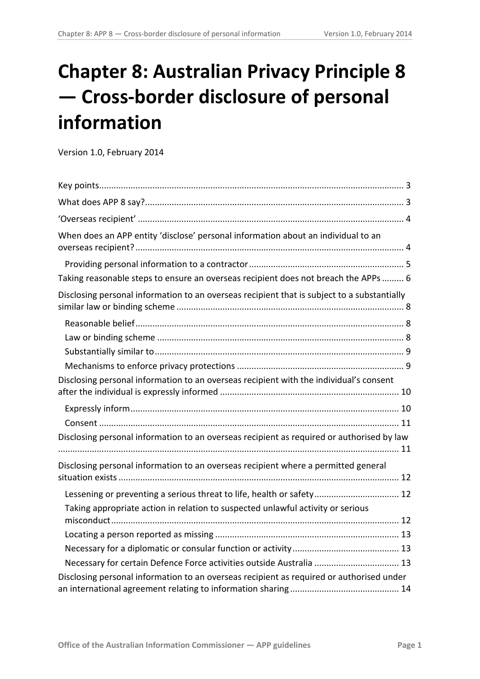# **Chapter 8: Australian Privacy Principle 8 — Cross-border disclosure of personal information**

Version 1.0, February 2014

<span id="page-0-0"></span>

| When does an APP entity 'disclose' personal information about an individual to an           |
|---------------------------------------------------------------------------------------------|
|                                                                                             |
| Taking reasonable steps to ensure an overseas recipient does not breach the APPs  6         |
| Disclosing personal information to an overseas recipient that is subject to a substantially |
|                                                                                             |
|                                                                                             |
|                                                                                             |
|                                                                                             |
| Disclosing personal information to an overseas recipient with the individual's consent      |
|                                                                                             |
|                                                                                             |
| Disclosing personal information to an overseas recipient as required or authorised by law   |
| Disclosing personal information to an overseas recipient where a permitted general          |
| Lessening or preventing a serious threat to life, health or safety 12                       |
| Taking appropriate action in relation to suspected unlawful activity or serious             |
|                                                                                             |
|                                                                                             |
| Necessary for certain Defence Force activities outside Australia  13                        |
| Disclosing personal information to an overseas recipient as required or authorised under    |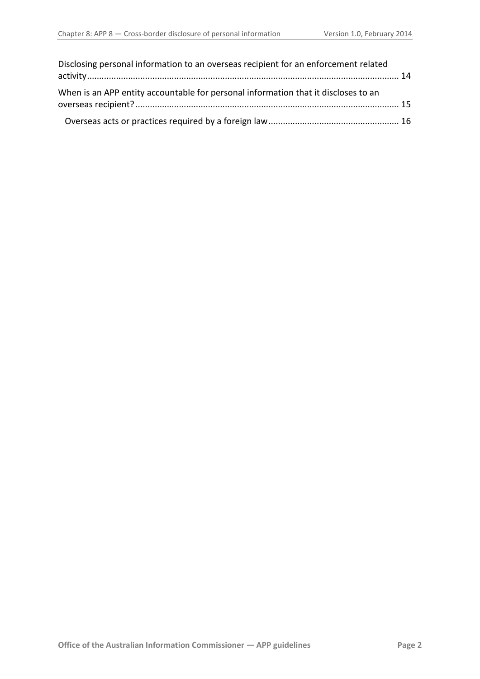| Disclosing personal information to an overseas recipient for an enforcement related |  |
|-------------------------------------------------------------------------------------|--|
| When is an APP entity accountable for personal information that it discloses to an  |  |
|                                                                                     |  |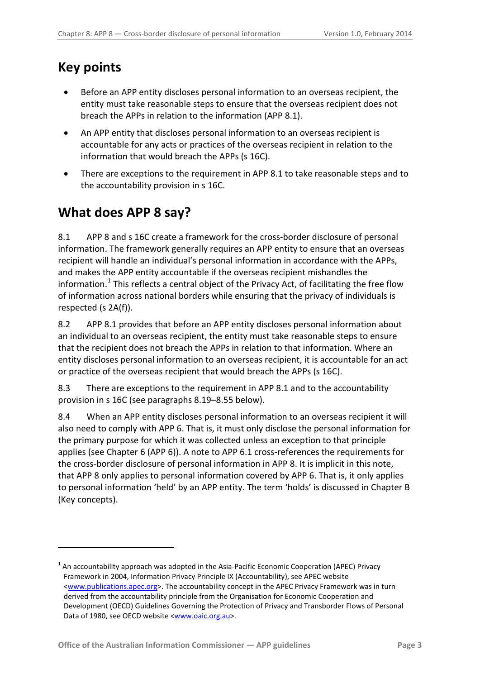# <span id="page-2-0"></span>**Key points**

<span id="page-2-2"></span><u>.</u>

- Before an APP entity discloses personal information to an overseas recipient, the entity must take reasonable steps to ensure that the overseas recipient does not breach the APPs in relation to the information (APP 8.1).
- An APP entity that discloses personal information to an overseas recipient is accountable for any acts or practices of the overseas recipient in relation to the information that would breach the APPs (s 16C).
- There are exceptions to the requirement in APP 8.1 to take reasonable steps and to the accountability provision in s 16C.

# <span id="page-2-1"></span>**What does APP 8 say?**

8.1 APP 8 and s 16C create a framework for the cross-border disclosure of personal information. The framework generally requires an APP entity to ensure that an overseas recipient will handle an individual's personal information in accordance with the APPs, and makes the APP entity accountable if the overseas recipient mishandles the information.<sup>[1](#page-0-0)</sup> This reflects a central object of the Privacy Act, of facilitating the free flow of information across national borders while ensuring that the privacy of individuals is respected (s 2A(f)).

8.2 APP 8.1 provides that before an APP entity discloses personal information about an individual to an overseas recipient, the entity must take reasonable steps to ensure that the recipient does not breach the APPs in relation to that information. Where an entity discloses personal information to an overseas recipient, it is accountable for an act or practice of the overseas recipient that would breach the APPs (s 16C).

8.3 There are exceptions to the requirement in APP 8.1 and to the accountability provision in s 16C (see paragraphs [8.19](#page-7-3)[–8.55](#page-14-1) below).

8.4 When an APP entity discloses personal information to an overseas recipient it will also need to comply with APP 6. That is, it must only disclose the personal information for the primary purpose for which it was collected unless an exception to that principle applies (see Chapter 6 (APP 6)). A note to APP 6.1 cross-references the requirements for the cross-border disclosure of personal information in APP 8. It is implicit in this note, that APP 8 only applies to personal information covered by APP 6. That is, it only applies to personal information 'held' by an APP entity. The term 'holds' is discussed in Chapter B (Key concepts).

 $1$  An accountability approach was adopted in the Asia-Pacific Economic Cooperation (APEC) Privacy Framework in 2004, Information Privacy Principle IX (Accountability), see APEC website [<www.publications.apec.org>](http://www.publications.apec.org/). The accountability concept in the APEC Privacy Framework was in turn derived from the accountability principle from the Organisation for Economic Cooperation and Development (OECD) Guidelines Governing the Protection of Privacy and Transborder Flows of Personal Data of 1980, see OECD website [<www.oaic.org.au>](http://www.oaic.org.au/).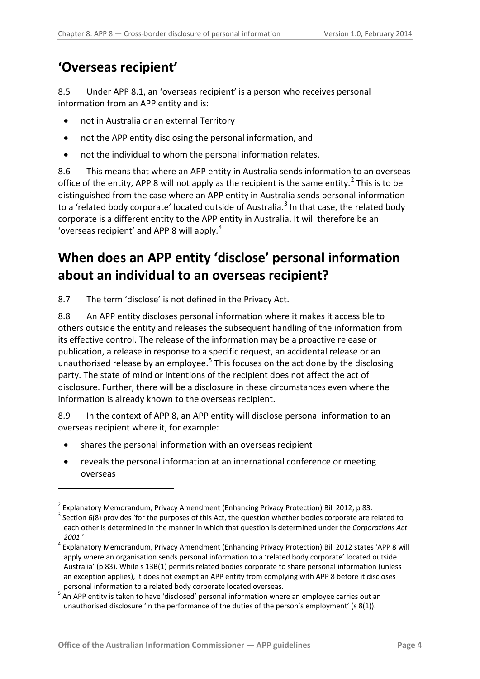## <span id="page-3-0"></span>**'Overseas recipient'**

8.5 Under APP 8.1, an 'overseas recipient' is a person who receives personal information from an APP entity and is:

- not in Australia or an external Territory
- not the APP entity disclosing the personal information, and
- not the individual to whom the personal information relates.

8.6 This means that where an APP entity in Australia sends information to an overseas office of the entity, APP 8 will not apply as the recipient is the same entity.<sup>[2](#page-2-2)</sup> This is to be distinguished from the case where an APP entity in Australia sends personal information to a 'related body corporate' located outside of Australia.<sup>[3](#page-3-2)</sup> In that case, the related body corporate is a different entity to the APP entity in Australia. It will therefore be an 'overseas recipient' and APP 8 will apply. $4$ 

# <span id="page-3-1"></span>**When does an APP entity 'disclose' personal information about an individual to an overseas recipient?**

8.7 The term 'disclose' is not defined in the Privacy Act.

8.8 An APP entity discloses personal information where it makes it accessible to others outside the entity and releases the subsequent handling of the information from its effective control. The release of the information may be a proactive release or publication, a release in response to a specific request, an accidental release or an unauthorised release by an employee.<sup>[5](#page-3-4)</sup> This focuses on the act done by the disclosing party. The state of mind or intentions of the recipient does not affect the act of disclosure. Further, there will be a disclosure in these circumstances even where the information is already known to the overseas recipient.

8.9 In the context of APP 8, an APP entity will disclose personal information to an overseas recipient where it, for example:

shares the personal information with an overseas recipient

<u>.</u>

• reveals the personal information at an international conference or meeting overseas

<span id="page-3-2"></span><sup>&</sup>lt;sup>2</sup> Explanatory Memorandum, Privacy Amendment (Enhancing Privacy Protection) Bill 2012, p 83.<br><sup>3</sup> Section 6(8) provides 'for the purposes of this Act, the question whether bodies corporate are related to each other is determined in the manner in which that question is determined under the *Corporations Act* 

<span id="page-3-3"></span>*<sup>2001</sup>*.' <sup>4</sup> Explanatory Memorandum, Privacy Amendment (Enhancing Privacy Protection) Bill 2012 states 'APP 8 will apply where an organisation sends personal information to a 'related body corporate' located outside Australia' (p 83). While s 13B(1) permits related bodies corporate to share personal information (unless an exception applies), it does not exempt an APP entity from complying with APP 8 before it discloses personal information to a related body corporate located overseas.

<span id="page-3-5"></span><span id="page-3-4"></span><sup>&</sup>lt;sup>5</sup> An APP entity is taken to have 'disclosed' personal information where an employee carries out an unauthorised disclosure 'in the performance of the duties of the person's employment' (s 8(1)).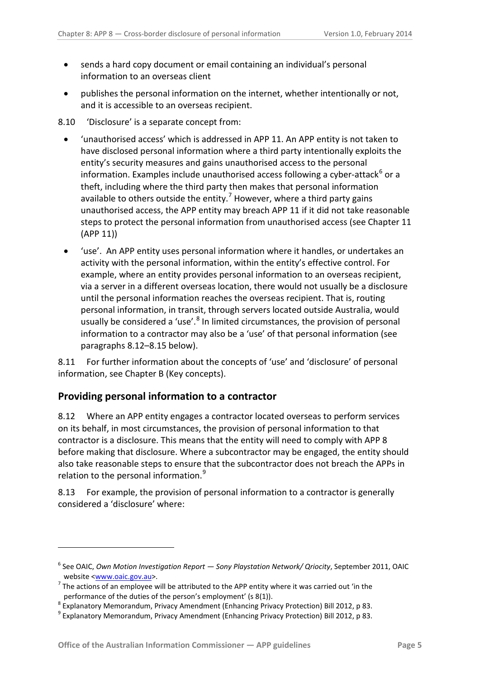- sends a hard copy document or email containing an individual's personal information to an overseas client
- publishes the personal information on the internet, whether intentionally or not, and it is accessible to an overseas recipient.
- 8.10 'Disclosure' is a separate concept from:
	- 'unauthorised access' which is addressed in APP 11. An APP entity is not taken to have disclosed personal information where a third party intentionally exploits the entity's security measures and gains unauthorised access to the personal information. Examples include unauthorised access following a cyber-attack $6$  or a theft, including where the third party then makes that personal information available to others outside the entity.<sup>[7](#page-4-2)</sup> However, where a third party gains unauthorised access, the APP entity may breach APP 11 if it did not take reasonable steps to protect the personal information from unauthorised access (see Chapter 11 (APP 11))
	- 'use'. An APP entity uses personal information where it handles, or undertakes an activity with the personal information, within the entity's effective control. For example, where an entity provides personal information to an overseas recipient, via a server in a different overseas location, there would not usually be a disclosure until the personal information reaches the overseas recipient. That is, routing personal information, in transit, through servers located outside Australia, would usually be considered a 'use'.<sup>[8](#page-4-3)</sup> In limited circumstances, the provision of personal information to a contractor may also be a 'use' of that personal information (see paragraphs [8.12](#page-4-1)[–8.15](#page-5-1) below).

8.11 For further information about the concepts of 'use' and 'disclosure' of personal information, see Chapter B (Key concepts).

#### <span id="page-4-0"></span>**Providing personal information to a contractor**

<u>.</u>

<span id="page-4-1"></span>8.12 Where an APP entity engages a contractor located overseas to perform services on its behalf, in most circumstances, the provision of personal information to that contractor is a disclosure. This means that the entity will need to comply with APP 8 before making that disclosure. Where a subcontractor may be engaged, the entity should also take reasonable steps to ensure that the subcontractor does not breach the APPs in relation to the personal information.<sup>[9](#page-4-4)</sup>

8.13 For example, the provision of personal information to a contractor is generally considered a 'disclosure' where:

<sup>6</sup> See OAIC, *Own Motion Investigation Report — Sony Playstation Network/ Qriocity*, September 2011, OAIC website  $\frac{www.oaic.gov.au}{s}$ .<br>The actions of an employee will be attributed to the APP entity where it was carried out 'in the

<span id="page-4-5"></span><span id="page-4-3"></span><span id="page-4-2"></span>performance of the duties of the person's employment' (s 8(1)).<br>
<sup>8</sup> Explanatory Memorandum, Privacy Amendment (Enhancing Privacy Protection) Bill 2012, p 83.<br>
<sup>9</sup> Explanatory Memorandum, Privacy Amendment (Enhancing Priva

<span id="page-4-4"></span>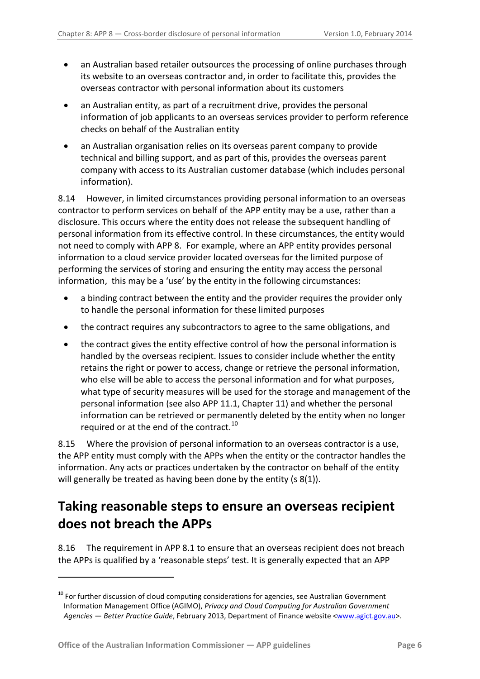- an Australian based retailer outsources the processing of online purchases through its website to an overseas contractor and, in order to facilitate this, provides the overseas contractor with personal information about its customers
- an Australian entity, as part of a recruitment drive, provides the personal information of job applicants to an overseas services provider to perform reference checks on behalf of the Australian entity
- an Australian organisation relies on its overseas parent company to provide technical and billing support, and as part of this, provides the overseas parent company with access to its Australian customer database (which includes personal information).

8.14 However, in limited circumstances providing personal information to an overseas contractor to perform services on behalf of the APP entity may be a use, rather than a disclosure. This occurs where the entity does not release the subsequent handling of personal information from its effective control. In these circumstances, the entity would not need to comply with APP 8. For example, where an APP entity provides personal information to a cloud service provider located overseas for the limited purpose of performing the services of storing and ensuring the entity may access the personal information, this may be a 'use' by the entity in the following circumstances:

- a binding contract between the entity and the provider requires the provider only to handle the personal information for these limited purposes
- the contract requires any subcontractors to agree to the same obligations, and
- the contract gives the entity effective control of how the personal information is handled by the overseas recipient. Issues to consider include whether the entity retains the right or power to access, change or retrieve the personal information, who else will be able to access the personal information and for what purposes, what type of security measures will be used for the storage and management of the personal information (see also APP 11.1, Chapter 11) and whether the personal information can be retrieved or permanently deleted by the entity when no longer required or at the end of the contract.<sup>[10](#page-4-5)</sup>

<span id="page-5-1"></span>8.15 Where the provision of personal information to an overseas contractor is a use, the APP entity must comply with the APPs when the entity or the contractor handles the information. Any acts or practices undertaken by the contractor on behalf of the entity will generally be treated as having been done by the entity (s 8(1)).

# <span id="page-5-0"></span>**Taking reasonable steps to ensure an overseas recipient does not breach the APPs**

<span id="page-5-3"></span>8.16 The requirement in APP 8.1 to ensure that an overseas recipient does not breach the APPs is qualified by a 'reasonable steps' test. It is generally expected that an APP

<span id="page-5-2"></span> $10$  For further discussion of cloud computing considerations for agencies, see Australian Government Information Management Office (AGIMO), *Privacy and Cloud Computing for Australian Government Agencies — Better Practice Guide*, February 2013, Department of Finance website [<www.agict.gov.au>](http://www.agict.gov.au/).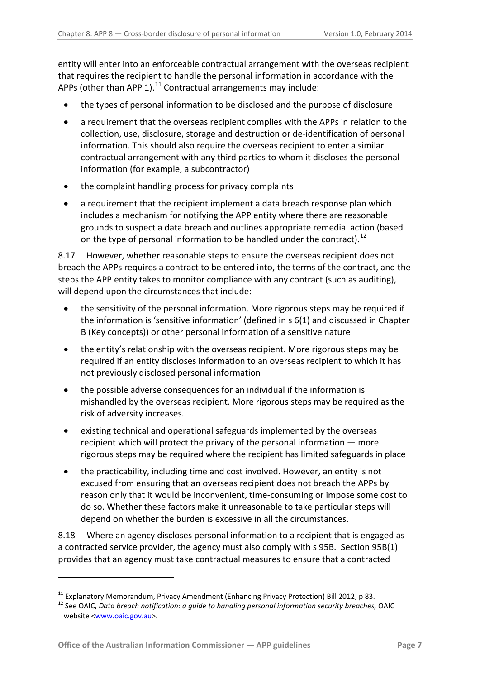entity will enter into an enforceable contractual arrangement with the overseas recipient that requires the recipient to handle the personal information in accordance with the APPs (other than APP 1). $^{11}$  Contractual arrangements may include:

- the types of personal information to be disclosed and the purpose of disclosure
- a requirement that the overseas recipient complies with the APPs in relation to the collection, use, disclosure, storage and destruction or de-identification of personal information. This should also require the overseas recipient to enter a similar contractual arrangement with any third parties to whom it discloses the personal information (for example, a subcontractor)
- the complaint handling process for privacy complaints
- a requirement that the recipient implement a data breach response plan which includes a mechanism for notifying the APP entity where there are reasonable grounds to suspect a data breach and outlines appropriate remedial action (based on the type of personal information to be handled under the contract).<sup>[12](#page-6-0)</sup>

8.17 However, whether reasonable steps to ensure the overseas recipient does not breach the APPs requires a contract to be entered into, the terms of the contract, and the steps the APP entity takes to monitor compliance with any contract (such as auditing), will depend upon the circumstances that include:

- the sensitivity of the personal information. More rigorous steps may be required if the information is 'sensitive information' (defined in s 6(1) and discussed in Chapter B (Key concepts)) or other personal information of a sensitive nature
- the entity's relationship with the overseas recipient. More rigorous steps may be required if an entity discloses information to an overseas recipient to which it has not previously disclosed personal information
- the possible adverse consequences for an individual if the information is mishandled by the overseas recipient. More rigorous steps may be required as the risk of adversity increases.
- existing technical and operational safeguards implemented by the overseas recipient which will protect the privacy of the personal information — more rigorous steps may be required where the recipient has limited safeguards in place
- the practicability, including time and cost involved. However, an entity is not excused from ensuring that an overseas recipient does not breach the APPs by reason only that it would be inconvenient, time-consuming or impose some cost to do so. Whether these factors make it unreasonable to take particular steps will depend on whether the burden is excessive in all the circumstances.

<span id="page-6-2"></span>8.18 Where an agency discloses personal information to a recipient that is engaged as a contracted service provider, the agency must also comply with s 95B. Section 95B(1) provides that an agency must take contractual measures to ensure that a contracted

<span id="page-6-1"></span><sup>&</sup>lt;sup>11</sup> Explanatory Memorandum, Privacy Amendment (Enhancing Privacy Protection) Bill 2012, p 83.<br><sup>12</sup> See OAIC, *Data breach notification: a guide to handling personal information security breaches, OAIC* 

<span id="page-6-0"></span>website [<www.oaic.gov.au>](http://www.oaic.gov.au/).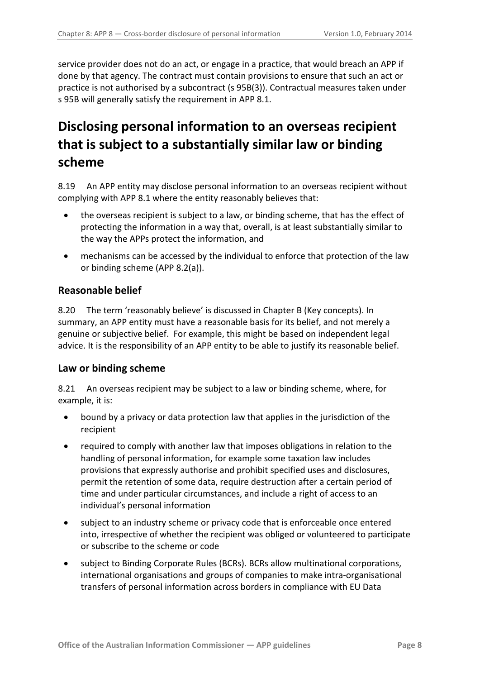service provider does not do an act, or engage in a practice, that would breach an APP if done by that agency. The contract must contain provisions to ensure that such an act or practice is not authorised by a subcontract (s 95B(3)). Contractual measures taken under s 95B will generally satisfy the requirement in APP 8.1.

# <span id="page-7-0"></span>**Disclosing personal information to an overseas recipient that is subject to a substantially similar law or binding scheme**

<span id="page-7-3"></span>8.19 An APP entity may disclose personal information to an overseas recipient without complying with APP 8.1 where the entity reasonably believes that:

- the overseas recipient is subject to a law, or binding scheme, that has the effect of protecting the information in a way that, overall, is at least substantially similar to the way the APPs protect the information, and
- mechanisms can be accessed by the individual to enforce that protection of the law or binding scheme (APP 8.2(a)).

### <span id="page-7-1"></span>**Reasonable belief**

8.20 The term 'reasonably believe' is discussed in Chapter B (Key concepts). In summary, an APP entity must have a reasonable basis for its belief, and not merely a genuine or subjective belief. For example, this might be based on independent legal advice. It is the responsibility of an APP entity to be able to justify its reasonable belief.

### <span id="page-7-2"></span>**Law or binding scheme**

8.21 An overseas recipient may be subject to a law or binding scheme, where, for example, it is:

- bound by a privacy or data protection law that applies in the jurisdiction of the recipient
- required to comply with another law that imposes obligations in relation to the handling of personal information, for example some taxation law includes provisions that expressly authorise and prohibit specified uses and disclosures, permit the retention of some data, require destruction after a certain period of time and under particular circumstances, and include a right of access to an individual's personal information
- subject to an industry scheme or privacy code that is enforceable once entered into, irrespective of whether the recipient was obliged or volunteered to participate or subscribe to the scheme or code
- subject to Binding Corporate Rules (BCRs). BCRs allow multinational corporations, international organisations and groups of companies to make intra-organisational transfers of personal information across borders in compliance with EU Data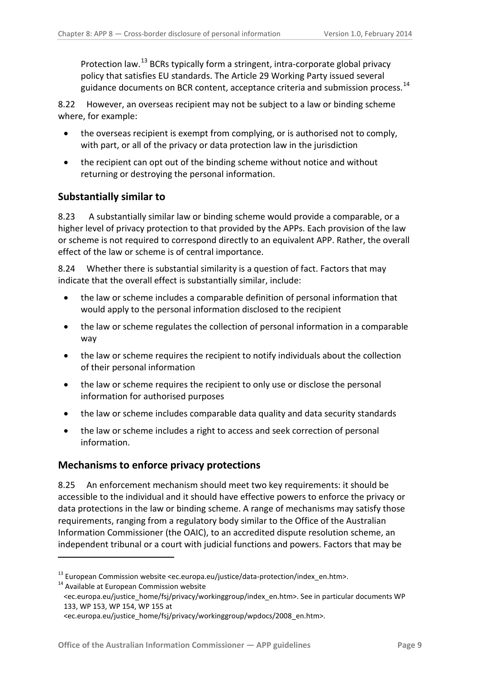Protection law.<sup>[13](#page-6-1)</sup> BCRs typically form a stringent, intra-corporate global privacy policy that satisfies EU standards. The Article 29 Working Party issued sever al guidance documents on BCR content, acceptance criteria and submission process.<sup>[14](#page-8-2)</sup>

8.22 However, an overseas recipient may not be subject to a law or binding scheme where, for example:

- the overseas recipient is exempt from complying, or is authorised not to comply, with part, or all of the privacy or data protection law in the jurisdiction
- the recipient can opt out of the binding scheme without notice and without returning or destroying the personal information.

### <span id="page-8-0"></span>**Substantially similar to**

8.23 A substantially similar law or binding scheme would provide a comparable, or a higher level of privacy protection to that provided by the APPs. Each provision of the law or scheme is not required to correspond directly to an equivalent APP. Rather, the overall effect of the law or scheme is of central importance.

8.24 Whether there is substantial similarity is a question of fact. Factors that may indicate that the overall effect is substantially similar, include:

- the law or scheme includes a comparable definition of personal information that would apply to the personal information disclosed to the recipient
- the law or scheme regulates the collection of personal information in a comparable way
- the law or scheme requires the recipient to notify individuals about the collection of their personal information
- the law or scheme requires the recipient to only use or disclose the personal information for authorised purposes
- the law or scheme includes comparable data quality and data security standards
- the law or scheme includes a right to access and seek correction of personal information.

### <span id="page-8-1"></span>**Mechanisms to enforce privacy protections**

8.25 An enforcement mechanism should meet two key requirements: it should be accessible to the individual and it should have effective powers to enforce the privacy or data protections in the law or binding scheme. A range of mechanisms may satisfy those requirements, ranging from a regulatory body similar to the Office of the Australian Information Commissioner (the OAIC), to an accredited dispute resolution scheme, an independent tribunal or a court with judicial functions and powers. Factors that may be

<span id="page-8-2"></span><sup>&</sup>lt;sup>13</sup> European Commission website <ec.europa.eu/justice/data-protection/index\_en.htm>.<br><sup>14</sup> Available at European Commission website

<sup>&</sup>lt;ec.europa.eu/justice\_home/fsj/privacy/workinggroup/index\_en.htm>. See in particular documents WP 133, WP 153, WP 154, WP 155 at

<span id="page-8-3"></span>[<sup>&</sup>lt;ec.europa.eu/justice\\_home/fsj/privacy/workinggroup/wpdocs/2008\\_en.htm>](http://ec.europa.eu/justice_home/fsj/privacy/workinggroup/wpdocs/2008_en.htm).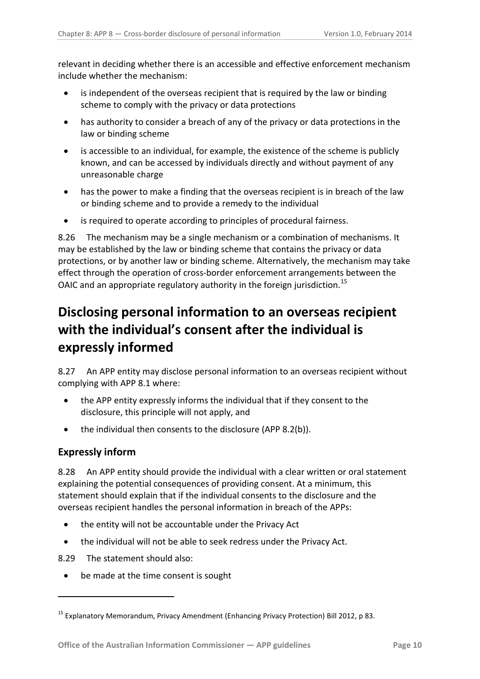relevant in deciding whether there is an accessible and effective enforcement mechanism include whether the mechanism:

- is independent of the overseas recipient that is required by the law or binding scheme to comply with the privacy or data protections
- has authority to consider a breach of any of the privacy or data protections in the law or binding scheme
- is accessible to an individual, for example, the existence of the scheme is publicly known, and can be accessed by individuals directly and without payment of any unreasonable charge
- has the power to make a finding that the overseas recipient is in breach of the law or binding scheme and to provide a remedy to the individual
- is required to operate according to principles of procedural fairness.

8.26 The mechanism may be a single mechanism or a combination of mechanisms. It may be established by the law or binding scheme that contains the privacy or data protections, or by another law or binding scheme. Alternatively, the mechanism may take effect through the operation of cross-border enforcement arrangements between the OAIC and an appropriate regulatory authority in the foreign jurisdiction.<sup>[15](#page-8-3)</sup>

# <span id="page-9-0"></span>**Disclosing personal information to an overseas recipient with the individual's consent after the individual is expressly informed**

8.27 An APP entity may disclose personal information to an overseas recipient without complying with APP 8.1 where:

- the APP entity expressly informs the individual that if they consent to the disclosure, this principle will not apply, and
- the individual then consents to the disclosure (APP 8.2(b)).

### <span id="page-9-1"></span>**Expressly inform**

<u>.</u>

8.28 An APP entity should provide the individual with a clear written or oral statement explaining the potential consequences of providing consent. At a minimum, this statement should explain that if the individual consents to the disclosure and the overseas recipient handles the personal information in breach of the APPs:

- the entity will not be accountable under the Privacy Act
- the individual will not be able to seek redress under the Privacy Act.

8.29 The statement should also:

• be made at the time consent is sought

<span id="page-9-2"></span><sup>15</sup> Explanatory Memorandum, Privacy Amendment (Enhancing Privacy Protection) Bill 2012, p 83.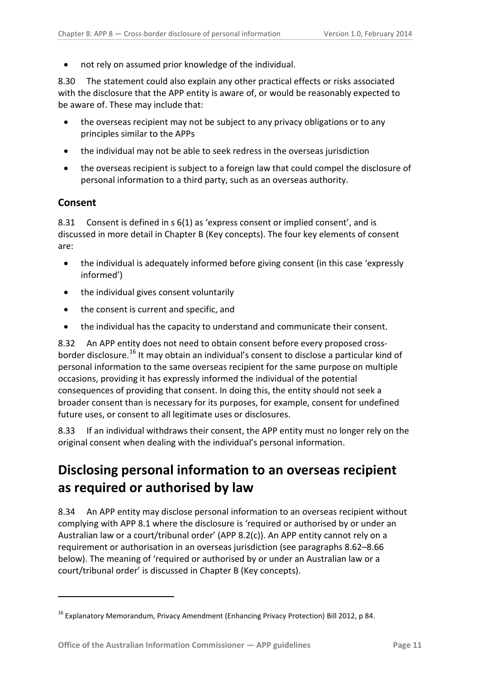• not rely on assumed prior knowledge of the individual.

8.30 The statement could also explain any other practical effects or risks associated with the disclosure that the APP entity is aware of, or would be reasonably expected to be aware of. These may include that:

- the overseas recipient may not be subject to any privacy obligations or to any principles similar to the APPs
- the individual may not be able to seek redress in the overseas jurisdiction
- the overseas recipient is subject to a foreign law that could compel the disclosure of personal information to a third party, such as an overseas authority.

#### <span id="page-10-0"></span>**Consent**

<u>.</u>

8.31 Consent is defined in s 6(1) as 'express consent or implied consent', and is discussed in more detail in Chapter B (Key concepts). The four key elements of consent are:

- the individual is adequately informed before giving consent (in this case 'expressly informed')
- the individual gives consent voluntarily
- the consent is current and specific, and
- the individual has the capacity to understand and communicate their consent.

8.32 An APP entity does not need to obtain consent before every proposed cross-border disclosure.<sup>[16](#page-9-2)</sup> It may obtain an individual's consent to disclose a particular kind of personal information to the same overseas recipient for the same purpose on multiple occasions, providing it has expressly informed the individual of the potential consequences of providing that consent. In doing this, the entity should not seek a broader consent than is necessary for its purposes, for example, consent for undefined future uses, or consent to all legitimate uses or disclosures.

8.33 If an individual withdraws their consent, the APP entity must no longer rely on the original consent when dealing with the individual's personal information.

# <span id="page-10-1"></span>**Disclosing personal information to an overseas recipient as required or authorised by law**

8.34 An APP entity may disclose personal information to an overseas recipient without complying with APP 8.1 where the disclosure is 'required or authorised by or under an Australian law or a court/tribunal order' (APP 8.2(c)). An APP entity cannot rely on a requirement or authorisation in an overseas jurisdiction (see paragraph[s 8.62](#page-15-1)[–8.66](#page-15-2) below). The meaning of 'required or authorised by or under an Australian law or a court/tribunal order' is discussed in Chapter B (Key concepts).

<span id="page-10-2"></span><sup>16</sup> Explanatory Memorandum, Privacy Amendment (Enhancing Privacy Protection) Bill 2012, p 84.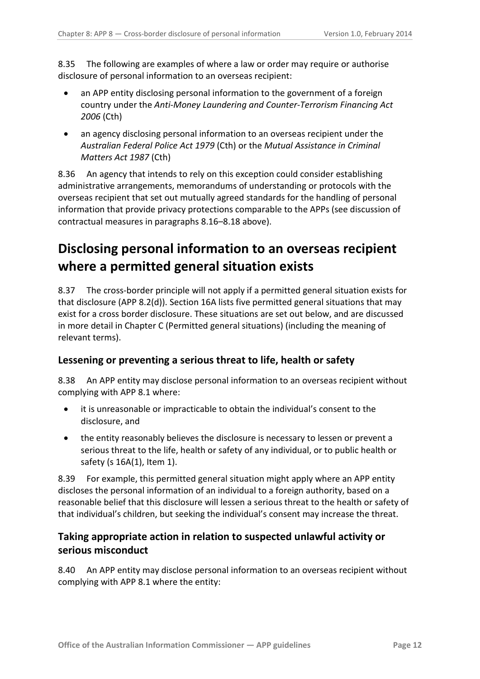8.35 The following are examples of where a law or order may require or authorise disclosure of personal information to an overseas recipient:

- an APP entity disclosing personal information to the government of a foreign country under the *Anti-Money Laundering and Counter-Terrorism Financing Act 2006* (Cth)
- an agency disclosing personal information to an overseas recipient under the *Australian Federal Police Act 1979* (Cth) or the *Mutual Assistance in Criminal Matters Act 1987* (Cth)

8.36 An agency that intends to rely on this exception could consider establishing administrative arrangements, memorandums of understanding or protocols with the overseas recipient that set out mutually agreed standards for the handling of personal information that provide privacy protections comparable to the APPs (see discussion of contractual measures in paragra phs [8.16](#page-5-3)[–8.18](#page-6-2) above).

# <span id="page-11-0"></span>**Disclosing personal information to an overseas recipient where a permitted general situation exists**

8.37 The cross-border principle will not apply if a permitted general situation exists for that disclosure (APP 8.2(d)). Section 16A lists five permitted general situations that may exist for a cross border disclosure. These situations are set out below, and are discussed in more detail in Chapter C (Permitted general situations) (including the meaning of relevant terms).

### <span id="page-11-1"></span>**Lessening or preventing a serious threat to life, health or safety**

8.38 An APP entity may disclose personal information to an overseas recipient without complying with APP 8.1 where:

- it is unreasonable or impracticable to obtain the individual's consent to the disclosure, and
- the entity reasonably believes the disclosure is necessary to lessen or prevent a serious threat to the life, health or safety of any individual, or to public health or safety (s 16A(1), Item 1).

8.39 For example, this permitted general situation might apply where an APP entity discloses the personal information of an individual to a foreign authority, based on a reasonable belief that this disclosure will lessen a serious threat to the health or safety of that individual's children, but seeking the individual's consent may increase the threat.

### <span id="page-11-2"></span>**Taking appropriate action in relation to suspected unlawful activity or serious misconduct**

8.40 An APP entity may disclose personal information to an overseas recipient without complying with APP 8.1 where the entity: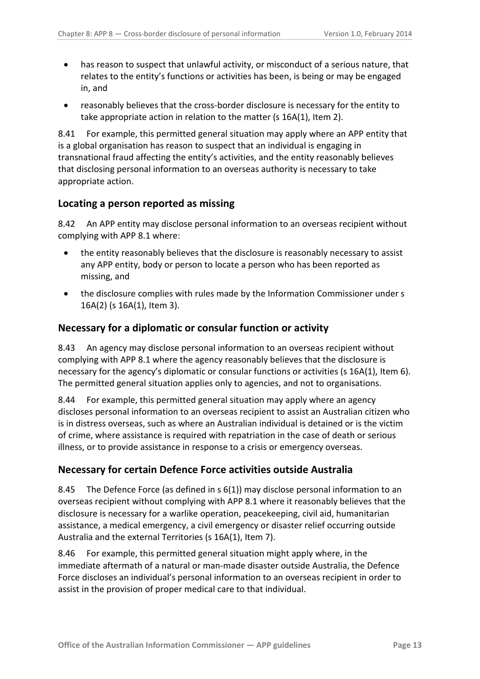- has reason to suspect that unlawful activity, or misconduct of a serious nature, that relates to the entity's functions or activities has been, is being or may be engaged in, and
- reasonably believes that the cross-border disclosure is necessary for the entity to take appropriate action in relation to the matter (s 16A(1), Item 2).

8.41 For example, this permitted general situation may apply where an APP entity that is a global organisation has reason to suspect that an individual is engaging in transnational fraud affecting the entity's activities, and the entity reasonably believes that disclosing personal information to an overseas authority is necessary to take appropriate action.

### <span id="page-12-0"></span>**Locating a person reported as missing**

8.42 An APP entity may disclose personal information to an overseas recipient without complying with APP 8.1 where:

- the entity reasonably believes that the disclosure is reasonably necessary to assist any APP entity, body or person to locate a person who has been reported as missing, and
- the disclosure complies with rules made by the Information Commissioner under s 16A(2) (s 16A(1), Item 3).

### <span id="page-12-1"></span>**Necessary for a diplomatic or consular function or activity**

8.43 An agency may disclose personal information to an overseas recipient without complying with APP 8.1 where the agency reasonably believes that the disclosure is necessary for the agency's diplomatic or consular functions or activities (s 16A(1), Item 6). The permitted general situation applies only to agencies, and not to organisations.

8.44 For example, this permitted general situation may apply where an agency discloses personal information to an overseas recipient to assist an Australian citizen who is in distress overseas, such as where an Australian individual is detained or is the victim of crime, where assistance is required with repatriation in the case of death or serious illness, or to provide assistance in response to a crisis or emergency overseas.

### <span id="page-12-2"></span>**Necessary for certain Defence Force activities outside Australia**

8.45 The Defence Force (as defined in s 6(1)) may disclose personal information to an overseas recipient without complying with APP 8.1 where it reasonably believes that the disclosure is necessary for a warlike operation, peacekeeping, civil aid, humanitarian assistance, a medical emergency, a civil emergency or disaster relief occurring outside Australia and the external Territories (s 16A(1), Item 7).

8.46 For example, this permitted general situation might apply where, in the immediate aftermath of a natural or man-made disaster outside Australia, the Defence Force discloses an individual's personal information to an overseas recipient in order to assist in the provision of proper medical care to that individual.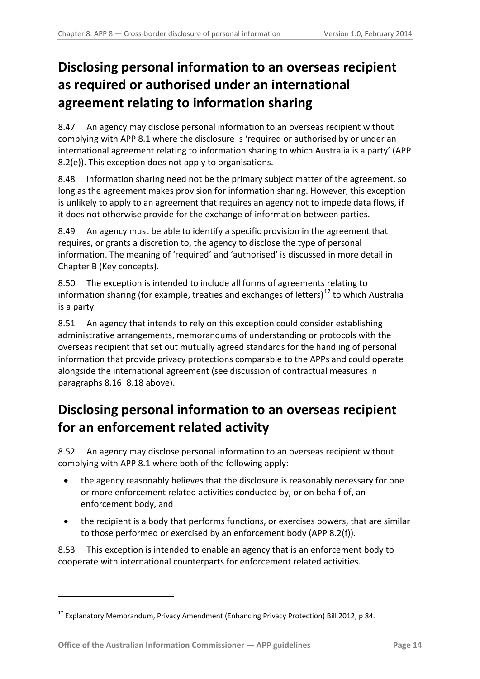# <span id="page-13-0"></span>**Disclosing personal information to an overseas recipient as required or authorised under an international agreement relating to information sharing**

8.47 An agency may disclose personal information to an overseas recipient without complying with APP 8.1 where the disclosure is 'required or authorised by or under an international agreement relating to information sharing to which Australia is a party' (APP 8.2(e)). This exception does not apply to organisations.

8.48 Information sharing need not be the primary subject matter of the agreement, so long as the agreement makes provision for information sharing. However, this exception is unlikely to apply to an agreement that requires an agency not to impede data flows, if it does not otherwise provide for the exchange of information between parties.

8.49 An agency must be able to identify a specific provision in the agreement that requires, or grants a discretion to, the agency to disclose the type of personal information. The meaning of 'required' and 'authorised' is discussed in more detail in Chapter B (Key concepts).

8.50 The exception is intended to include all forms of agreements relating to information sharing (for example, treaties and exchanges of letters) [17](#page-10-2) to which Australia is a party.

8.51 An agency that intends to rely on this exception could consider establishing administrative arrangements, memorandums of understanding or protocols with the overseas recipient that set out mutually agreed standards for the handling of personal information that provide privacy protections comparable to the APPs and could operate alongside the international agreement (see discussion of contractual measures in paragraphs [8.16–](#page-5-3)[8.18](#page-6-2) above).

# <span id="page-13-1"></span>**Disclosing personal information to an overseas recipient for an enforcement related activity**

8.52 An agency may disclose personal information to an overseas recipient without complying with APP 8.1 where both of the following apply:

- the agency reasonably believes that the disclosure is reasonably necessary for one or more enforcement related activities conducted by, or on behalf of, an enforcement body, and
- the recipient is a body that performs functions, or exercises powers, that are similar to those performed or exercised by an enforcement body (APP 8.2(f)).

<span id="page-13-2"></span>8.53 This exception is intended to enable an agency that is an enforcement body to cooperate with international counterparts for enforcement related activities.

 $17$  Explanatory Memorandum, Privacy Amendment (Enhancing Privacy Protection) Bill 2012, p 84.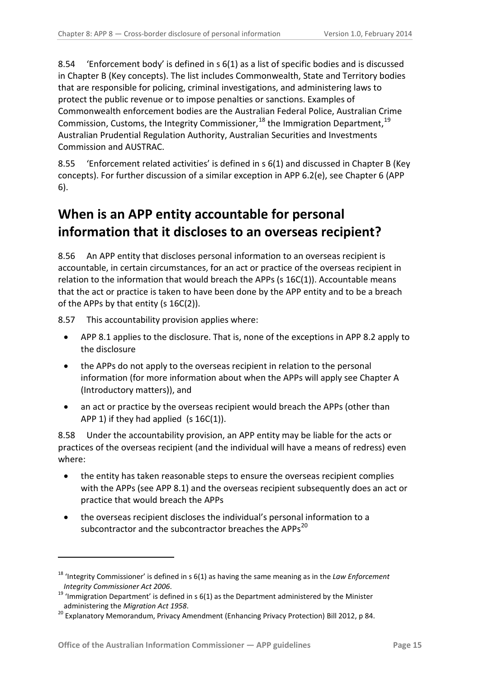8.54 'Enforcement body' is defined in s 6(1) as a list of specific bodies and is discussed in Chapter B (Key concepts). The list includes Commonwealth, State and Territory bodies that are responsible for policing, criminal investigations, and administering laws to protect the public revenue or to impose penalties or sanctions. Examples of Commonwealth enforcement bodies are the Australian Federal Police, Australian Crime Commission, Customs, the Integrity Commissioner,  $^{18}$  $^{18}$  $^{18}$  the Immigration Department,  $^{19}$  $^{19}$  $^{19}$ Australian Prudential Regulation Authority, Australian Securities and Investments Commission and AUSTRAC.

<span id="page-14-1"></span>8.55 'Enforcement related activities' is defined in s 6(1) and discussed in Chapter B (Key concepts). For further discussion of a similar exception in APP 6.2(e), see Chapter 6 (APP 6).

# <span id="page-14-0"></span>**When is an APP entity accountable for personal information that it discloses to an overseas recipient?**

8.56 An APP entity that discloses personal information to an overseas recipient is accountable, in certain circumstances, for an act or practice of the overseas recipient in relation to the information that would breach the APPs (s 16C(1)). Accountable means that the act or practice is taken to have been done by the APP entity and to be a breach of the APPs by that entity (s 16C(2)).

8.57 This accountability provision applies where:

- APP 8.1 applies to the disclosure. That is, none of the exceptions in APP 8.2 apply to the disclosure
- the APPs do not apply to the overseas recipient in relation to the personal information (for more information about when the APPs will apply see Chapter A (Introductory matters)), and
- an act or practice by the overseas recipient would breach the APPs (other than APP 1) if they had applied  $(s 16C(1))$ .

8.58 Under the accountability provision, an APP entity may be liable for the acts or practices of the overseas recipient (and the individual will have a means of redress) even where:

- the entity has taken reasonable steps to ensure the overseas recipient complies with the APPs (see APP 8.1) and the overseas recipient subsequently does an act or practice that would breach the APPs
- the overseas recipient discloses the individual's personal information to a subcontractor and the subcontractor breaches the APPs<sup>20</sup>

<sup>18</sup> 'Integrity Commissioner' is defined in s 6(1) as having the same meaning as in the *Law Enforcement* 

<span id="page-14-2"></span>*Integrity Commissioner Act 2006.*<br><sup>19</sup> 'Immigration Department' is defined in s 6(1) as the Department administered by the Minister<br>administering the *Migration Act 1958*.

<span id="page-14-4"></span><span id="page-14-3"></span><sup>&</sup>lt;sup>20</sup> Explanatory Memorandum, Privacy Amendment (Enhancing Privacy Protection) Bill 2012, p 84.